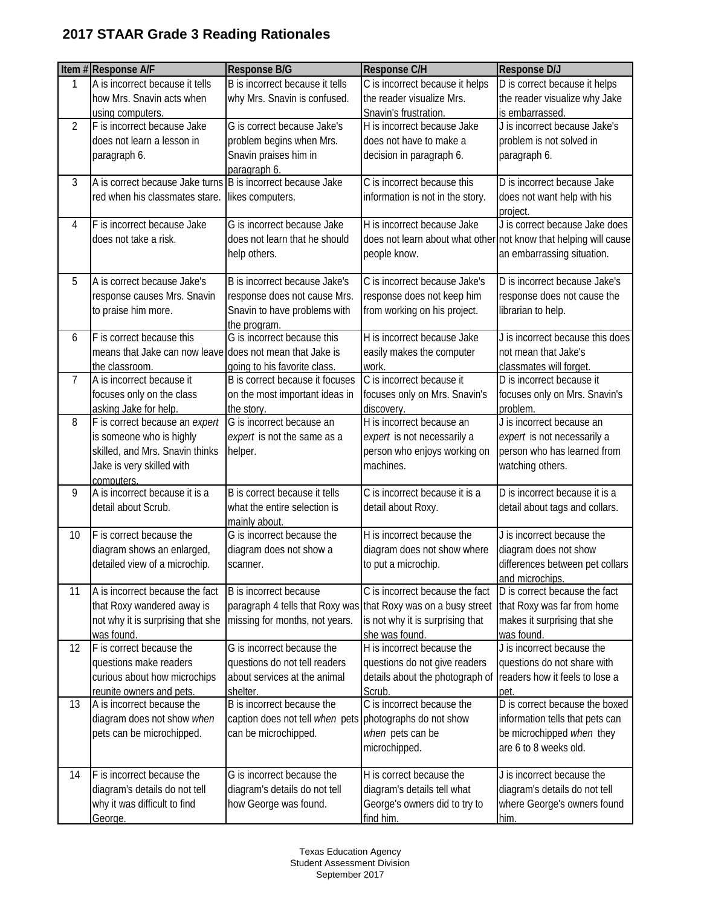## **2017 STAAR Grade 3 Reading Rationales**

|                | Item #Response A/F                                          | <b>Response B/G</b>                                            | <b>Response C/H</b>                          | <b>Response D/J</b>                                              |
|----------------|-------------------------------------------------------------|----------------------------------------------------------------|----------------------------------------------|------------------------------------------------------------------|
| 1              | A is incorrect because it tells                             | B is incorrect because it tells                                | C is incorrect because it helps              | D is correct because it helps                                    |
|                | how Mrs. Snavin acts when                                   | why Mrs. Snavin is confused.                                   | the reader visualize Mrs.                    | the reader visualize why Jake                                    |
|                | using computers.                                            |                                                                | Snavin's frustration.                        | is embarrassed.                                                  |
| $\overline{2}$ | F is incorrect because Jake                                 | G is correct because Jake's                                    | H is incorrect because Jake                  | J is incorrect because Jake's                                    |
|                | does not learn a lesson in                                  | problem begins when Mrs.                                       | does not have to make a                      | problem is not solved in                                         |
|                | paragraph 6.                                                | Snavin praises him in                                          | decision in paragraph 6.                     | paragraph 6.                                                     |
|                |                                                             | paragraph 6.                                                   |                                              |                                                                  |
| 3              | A is correct because Jake turns B is incorrect because Jake |                                                                | C is incorrect because this                  | D is incorrect because Jake                                      |
|                | red when his classmates stare.                              | likes computers.                                               | information is not in the story.             | does not want help with his                                      |
|                |                                                             |                                                                |                                              | project.                                                         |
| 4              | F is incorrect because Jake                                 | G is incorrect because Jake                                    | H is incorrect because Jake                  | J is correct because Jake does                                   |
|                | does not take a risk.                                       | does not learn that he should                                  |                                              | does not learn about what other not know that helping will cause |
|                |                                                             | help others.                                                   | people know.                                 | an embarrassing situation.                                       |
|                |                                                             |                                                                |                                              |                                                                  |
| 5              | A is correct because Jake's                                 | B is incorrect because Jake's                                  | C is incorrect because Jake's                | D is incorrect because Jake's                                    |
|                | response causes Mrs. Snavin                                 | response does not cause Mrs.                                   | response does not keep him                   | response does not cause the                                      |
|                | to praise him more.                                         | Snavin to have problems with                                   | from working on his project.                 | librarian to help.                                               |
| 6              | F is correct because this                                   | the program.<br>G is incorrect because this                    | H is incorrect because Jake                  | J is incorrect because this does                                 |
|                | means that Jake can now leave does not mean that Jake is    |                                                                | easily makes the computer                    | not mean that Jake's                                             |
|                | the classroom.                                              | going to his favorite class.                                   | work.                                        | classmates will forget.                                          |
| $\overline{7}$ | A is incorrect because it                                   | B is correct because it focuses                                | C is incorrect because it                    | D is incorrect because it                                        |
|                | focuses only on the class                                   | on the most important ideas in                                 | focuses only on Mrs. Snavin's                | focuses only on Mrs. Snavin's                                    |
|                | asking Jake for help.                                       | the story.                                                     | discovery.                                   | problem.                                                         |
| 8              | F is correct because an expert                              | G is incorrect because an                                      | H is incorrect because an                    | J is incorrect because an                                        |
|                | is someone who is highly                                    | expert is not the same as a                                    | expert is not necessarily a                  | expert is not necessarily a                                      |
|                | skilled, and Mrs. Snavin thinks                             | helper.                                                        | person who enjoys working on                 | person who has learned from                                      |
|                | Jake is very skilled with                                   |                                                                | machines.                                    | watching others.                                                 |
|                | computers.                                                  |                                                                |                                              |                                                                  |
| 9              | A is incorrect because it is a                              | B is correct because it tells                                  | C is incorrect because it is a               | D is incorrect because it is a                                   |
|                | detail about Scrub.                                         | what the entire selection is                                   | detail about Roxy.                           | detail about tags and collars.                                   |
|                |                                                             | mainly about.                                                  |                                              |                                                                  |
| 10             | F is correct because the                                    | G is incorrect because the                                     | H is incorrect because the                   | J is incorrect because the                                       |
|                | diagram shows an enlarged,                                  | diagram does not show a                                        | diagram does not show where                  | diagram does not show                                            |
|                | detailed view of a microchip.                               | scanner.                                                       | to put a microchip.                          | differences between pet collars                                  |
|                |                                                             |                                                                |                                              | and microchips.                                                  |
| 11             | A is incorrect because the fact                             | B is incorrect because                                         | C is incorrect because the fact              | $\overline{D}$ is correct because the fact                       |
|                | that Roxy wandered away is                                  | paragraph 4 tells that Roxy was that Roxy was on a busy street |                                              | that Roxy was far from home                                      |
|                | not why it is surprising that she                           | missing for months, not years.                                 | is not why it is surprising that             | makes it surprising that she                                     |
| 12             | was found.<br>F is correct because the                      | G is incorrect because the                                     | she was found.<br>H is incorrect because the | was found.<br>J is incorrect because the                         |
|                | questions make readers                                      | questions do not tell readers                                  | questions do not give readers                | questions do not share with                                      |
|                | curious about how microchips                                | about services at the animal                                   |                                              | readers how it feels to lose a                                   |
|                |                                                             |                                                                | details about the photograph of              |                                                                  |
| 13             | reunite owners and pets.<br>A is incorrect because the      | shelter.<br>B is incorrect because the                         | Scrub.<br>C is incorrect because the         | pet<br>D is correct because the boxed                            |
|                | diagram does not show when                                  | caption does not tell when pets photographs do not show        |                                              | information tells that pets can                                  |
|                | pets can be microchipped.                                   | can be microchipped.                                           | when pets can be                             | be microchipped when they                                        |
|                |                                                             |                                                                | microchipped.                                | are 6 to 8 weeks old.                                            |
|                |                                                             |                                                                |                                              |                                                                  |
| 14             | F is incorrect because the                                  | G is incorrect because the                                     | H is correct because the                     | J is incorrect because the                                       |
|                | diagram's details do not tell                               | diagram's details do not tell                                  | diagram's details tell what                  | diagram's details do not tell                                    |
|                | why it was difficult to find                                | how George was found.                                          | George's owners did to try to                | where George's owners found                                      |
|                | George.                                                     |                                                                | find him.                                    | him.                                                             |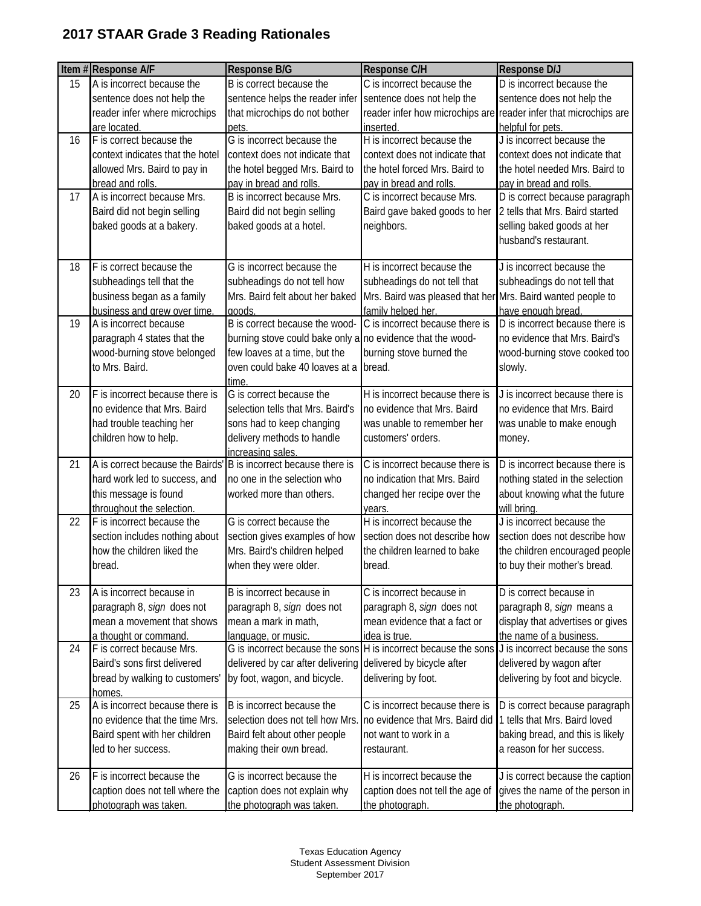## **2017 STAAR Grade 3 Reading Rationales**

|    | Item #Response A/F                                 | <b>Response B/G</b>                                        | <b>Response C/H</b>                                                                             | Response D/J                                                     |
|----|----------------------------------------------------|------------------------------------------------------------|-------------------------------------------------------------------------------------------------|------------------------------------------------------------------|
| 15 | A is incorrect because the                         | B is correct because the                                   | C is incorrect because the                                                                      | D is incorrect because the                                       |
|    | sentence does not help the                         | sentence helps the reader infer                            | sentence does not help the                                                                      | sentence does not help the                                       |
|    | reader infer where microchips                      | that microchips do not bother                              |                                                                                                 | reader infer how microchips are reader infer that microchips are |
|    | are located.                                       | pets.                                                      | inserted.                                                                                       | helpful for pets.                                                |
| 16 | F is correct because the                           | G is incorrect because the                                 | H is incorrect because the                                                                      | J is incorrect because the                                       |
|    | context indicates that the hotel                   | context does not indicate that                             | context does not indicate that                                                                  | context does not indicate that                                   |
|    | allowed Mrs. Baird to pay in                       | the hotel begged Mrs. Baird to                             | the hotel forced Mrs. Baird to                                                                  | the hotel needed Mrs. Baird to                                   |
|    | bread and rolls.                                   | pay in bread and rolls.                                    | pay in bread and rolls.                                                                         | pay in bread and rolls.                                          |
| 17 | A is incorrect because Mrs.                        | B is incorrect because Mrs.                                | C is incorrect because Mrs.                                                                     | D is correct because paragraph                                   |
|    | Baird did not begin selling                        | Baird did not begin selling                                | Baird gave baked goods to her                                                                   | 2 tells that Mrs. Baird started                                  |
|    | baked goods at a bakery.                           | baked goods at a hotel.                                    | neighbors.                                                                                      | selling baked goods at her                                       |
|    |                                                    |                                                            |                                                                                                 | husband's restaurant.                                            |
| 18 | F is correct because the                           | G is incorrect because the                                 | H is incorrect because the                                                                      | J is incorrect because the                                       |
|    | subheadings tell that the                          | subheadings do not tell how                                | subheadings do not tell that                                                                    | subheadings do not tell that                                     |
|    | business began as a family                         | Mrs. Baird felt about her baked                            | Mrs. Baird was pleased that her Mrs. Baird wanted people to                                     |                                                                  |
|    | business and grew over time.                       | goods.                                                     | family helped her.                                                                              | have enough bread.                                               |
| 19 | A is incorrect because                             | B is correct because the wood-                             | C is incorrect because there is                                                                 | D is incorrect because there is                                  |
|    | paragraph 4 states that the                        | burning stove could bake only a no evidence that the wood- |                                                                                                 | no evidence that Mrs. Baird's                                    |
|    | wood-burning stove belonged                        | few loaves at a time, but the                              | burning stove burned the                                                                        | wood-burning stove cooked too                                    |
|    | to Mrs. Baird.                                     | oven could bake 40 loaves at a                             | bread.                                                                                          | slowly.                                                          |
|    |                                                    | time.                                                      |                                                                                                 |                                                                  |
| 20 | F is incorrect because there is                    | G is correct because the                                   | H is incorrect because there is                                                                 | J is incorrect because there is                                  |
|    | no evidence that Mrs. Baird                        | selection tells that Mrs. Baird's                          | no evidence that Mrs. Baird                                                                     | no evidence that Mrs. Baird                                      |
|    | had trouble teaching her                           | sons had to keep changing                                  | was unable to remember her                                                                      | was unable to make enough                                        |
|    | children how to help.                              | delivery methods to handle                                 | customers' orders.                                                                              | money.                                                           |
|    | A is correct because the Bairds'                   | increasing sales.<br>B is incorrect because there is       |                                                                                                 |                                                                  |
| 21 |                                                    | no one in the selection who                                | C is incorrect because there is<br>no indication that Mrs. Baird                                | D is incorrect because there is                                  |
|    | hard work led to success, and                      |                                                            |                                                                                                 | nothing stated in the selection                                  |
|    | this message is found<br>throughout the selection. | worked more than others.                                   | changed her recipe over the                                                                     | about knowing what the future                                    |
| 22 | F is incorrect because the                         | G is correct because the                                   | years.<br>H is incorrect because the                                                            | will bring.<br>J is incorrect because the                        |
|    | section includes nothing about                     | section gives examples of how                              | section does not describe how                                                                   | section does not describe how                                    |
|    | how the children liked the                         | Mrs. Baird's children helped                               | the children learned to bake                                                                    | the children encouraged people                                   |
|    | bread.                                             | when they were older.                                      | bread.                                                                                          | to buy their mother's bread.                                     |
|    |                                                    |                                                            |                                                                                                 |                                                                  |
| 23 | A is incorrect because in                          | B is incorrect because in                                  | C is incorrect because in                                                                       | D is correct because in                                          |
|    | paragraph 8, sign does not                         | paragraph 8, sign does not                                 | paragraph 8, sign does not                                                                      | paragraph 8, sign means a                                        |
|    | mean a movement that shows                         | mean a mark in math,                                       | mean evidence that a fact or                                                                    | display that advertises or gives                                 |
|    | a thought or command.                              | language, or music.                                        | idea is true.                                                                                   | the name of a business.                                          |
| 24 | F is correct because Mrs.                          |                                                            | G is incorrect because the sons H is incorrect because the sons J is incorrect because the sons |                                                                  |
|    | Baird's sons first delivered                       | delivered by car after delivering                          | delivered by bicycle after                                                                      | delivered by wagon after                                         |
|    | bread by walking to customers'                     | by foot, wagon, and bicycle.                               | delivering by foot.                                                                             | delivering by foot and bicycle.                                  |
| 25 | homes.<br>A is incorrect because there is          | B is incorrect because the                                 | C is incorrect because there is                                                                 | D is correct because paragraph                                   |
|    | no evidence that the time Mrs.                     | selection does not tell how Mrs.                           | no evidence that Mrs. Baird did                                                                 | 1 tells that Mrs. Baird loved                                    |
|    | Baird spent with her children                      | Baird felt about other people                              | not want to work in a                                                                           | baking bread, and this is likely                                 |
|    | led to her success.                                | making their own bread.                                    | restaurant.                                                                                     | a reason for her success.                                        |
|    |                                                    |                                                            |                                                                                                 |                                                                  |
| 26 | F is incorrect because the                         | G is incorrect because the                                 | H is incorrect because the                                                                      | J is correct because the caption                                 |
|    | caption does not tell where the                    | caption does not explain why                               | caption does not tell the age of                                                                | gives the name of the person in                                  |
|    | photograph was taken.                              | the photograph was taken.                                  | the photograph.                                                                                 | the photograph.                                                  |